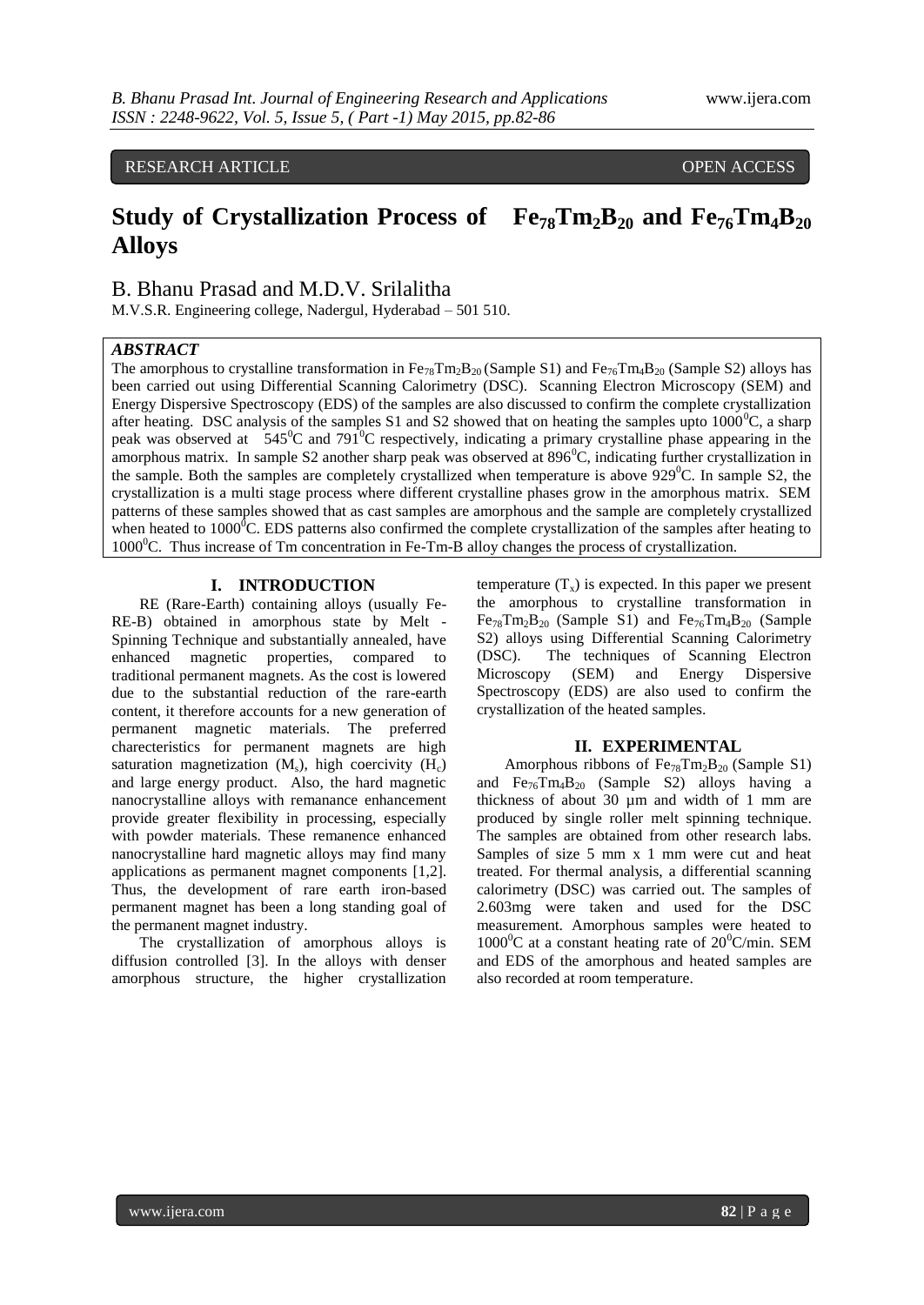# RESEARCH ARTICLE **CONSERVERS** OPEN ACCESS

# **Study of Crystallization Process of**  $Fe_{78}Tm_2B_{20}$  **and**  $Fe_{76}Tm_4B_{20}$ **Alloys**

B. Bhanu Prasad and M.D.V. Srilalitha

M.V.S.R. Engineering college, Nadergul, Hyderabad – 501 510.

### *ABSTRACT*

The amorphous to crystalline transformation in  $Fe_{78}Tm_2B_{20}$  (Sample S1) and  $Fe_{76}Tm_4B_{20}$  (Sample S2) alloys has been carried out using Differential Scanning Calorimetry (DSC). Scanning Electron Microscopy (SEM) and Energy Dispersive Spectroscopy (EDS) of the samples are also discussed to confirm the complete crystallization after heating. DSC analysis of the samples S1 and S2 showed that on heating the samples upto  $1000^{\circ}$ C, a sharp peak was observed at  $545^{\circ}$ C and 791<sup>°</sup>C respectively, indicating a primary crystalline phase appearing in the amorphous matrix. In sample S2 another sharp peak was observed at  $896^{\circ}$ C, indicating further crystallization in the sample. Both the samples are completely crystallized when temperature is above  $929^{\circ}$ C. In sample S2, the crystallization is a multi stage process where different crystalline phases grow in the amorphous matrix. SEM patterns of these samples showed that as cast samples are amorphous and the sample are completely crystallized when heated to  $1000^{\circ}$ C. EDS patterns also confirmed the complete crystallization of the samples after heating to  $1000^{\circ}$ C. Thus increase of Tm concentration in Fe-Tm-B alloy changes the process of crystallization.

## **I. INTRODUCTION**

RE (Rare-Earth) containing alloys (usually Fe-RE-B) obtained in amorphous state by Melt - Spinning Technique and substantially annealed, have enhanced magnetic properties, compared to traditional permanent magnets. As the cost is lowered due to the substantial reduction of the rare-earth content, it therefore accounts for a new generation of permanent magnetic materials. The preferred charecteristics for permanent magnets are high saturation magnetization  $(M_s)$ , high coercivity  $(H_c)$ and large energy product. Also, the hard magnetic nanocrystalline alloys with remanance enhancement provide greater flexibility in processing, especially with powder materials. These remanence enhanced nanocrystalline hard magnetic alloys may find many applications as permanent magnet components [1,2]. Thus, the development of rare earth iron-based permanent magnet has been a long standing goal of the permanent magnet industry.

The crystallization of amorphous alloys is diffusion controlled [3]. In the alloys with denser amorphous structure, the higher crystallization temperature  $(T_x)$  is expected. In this paper we present the amorphous to crystalline transformation in  $Fe_{78}Tm_2B_{20}$  (Sample S1) and  $Fe_{76}Tm_4B_{20}$  (Sample S2) alloys using Differential Scanning Calorimetry (DSC). The techniques of Scanning Electron Microscopy (SEM) and Energy Dispersive Spectroscopy (EDS) are also used to confirm the crystallization of the heated samples.

#### **II. EXPERIMENTAL**

Amorphous ribbons of  $Fe_{78}Tm_2B_{20}$  (Sample S1) and  $Fe_{76}Tm_4B_{20}$  (Sample S2) alloys having a thickness of about 30 µm and width of 1 mm are produced by single roller melt spinning technique. The samples are obtained from other research labs. Samples of size 5 mm x 1 mm were cut and heat treated. For thermal analysis, a differential scanning calorimetry (DSC) was carried out. The samples of 2.603mg were taken and used for the DSC measurement. Amorphous samples were heated to  $1000^{\circ}$ C at a constant heating rate of  $20^{\circ}$ C/min. SEM and EDS of the amorphous and heated samples are also recorded at room temperature.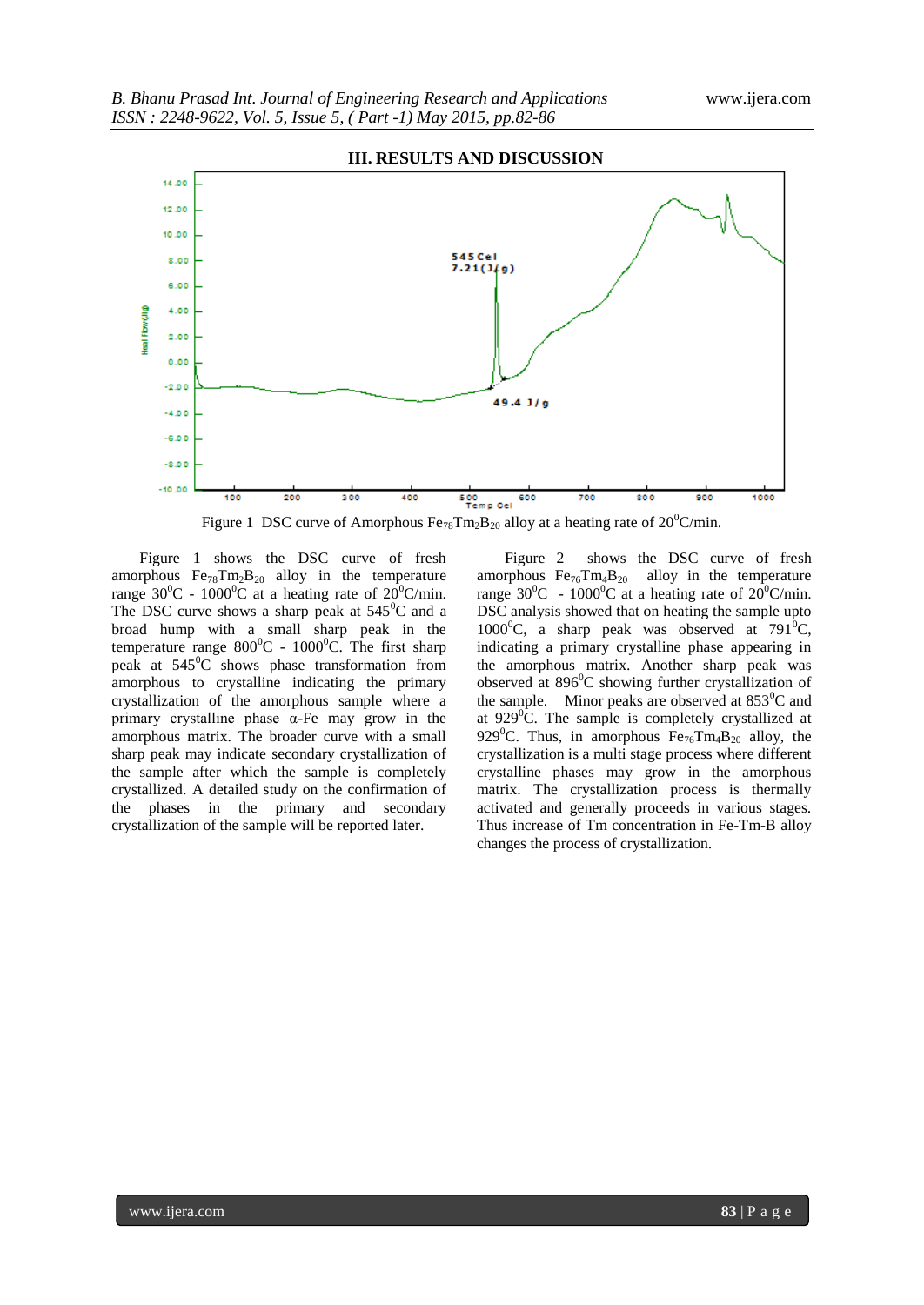

Figure 1 DSC curve of Amorphous  $Fe_{78}Tm_2B_{20}$  alloy at a heating rate of  $20^0$ C/min.

Figure 1 shows the DSC curve of fresh amorphous  $Fe_{78}Tm_2B_{20}$  alloy in the temperature range  $30^0C - 1000^0C$  at a heating rate of  $20^0C/\text{min}$ . The DSC curve shows a sharp peak at  $545^{\circ}$ C and a broad hump with a small sharp peak in the temperature range  $800^{\circ}$ C - 1000<sup>°</sup>C. The first sharp peak at  $545^{\circ}$ C shows phase transformation from amorphous to crystalline indicating the primary crystallization of the amorphous sample where a primary crystalline phase α-Fe may grow in the amorphous matrix. The broader curve with a small sharp peak may indicate secondary crystallization of the sample after which the sample is completely crystallized. A detailed study on the confirmation of the phases in the primary and secondary crystallization of the sample will be reported later.

Figure 2 shows the DSC curve of fresh amorphous  $Fe_{76}Tm_4B_{20}$  alloy in the temperature range  $30^0C - 1000^0C$  at a heating rate of  $20^0C/\text{min}$ . DSC analysis showed that on heating the sample upto  $1000^{\circ}$ C, a sharp peak was observed at 791 $^{\circ}$ C, indicating a primary crystalline phase appearing in the amorphous matrix. Another sharp peak was observed at  $896^{\circ}$ C showing further crystallization of the sample. Minor peaks are observed at  $853^{\circ}$ C and at  $929^0$ C. The sample is completely crystallized at 929<sup>°</sup>C. Thus, in amorphous  $Fe_{76}Tm_4B_{20}$  alloy, the crystallization is a multi stage process where different crystalline phases may grow in the amorphous matrix. The crystallization process is thermally activated and generally proceeds in various stages. Thus increase of Tm concentration in Fe-Tm-B alloy changes the process of crystallization.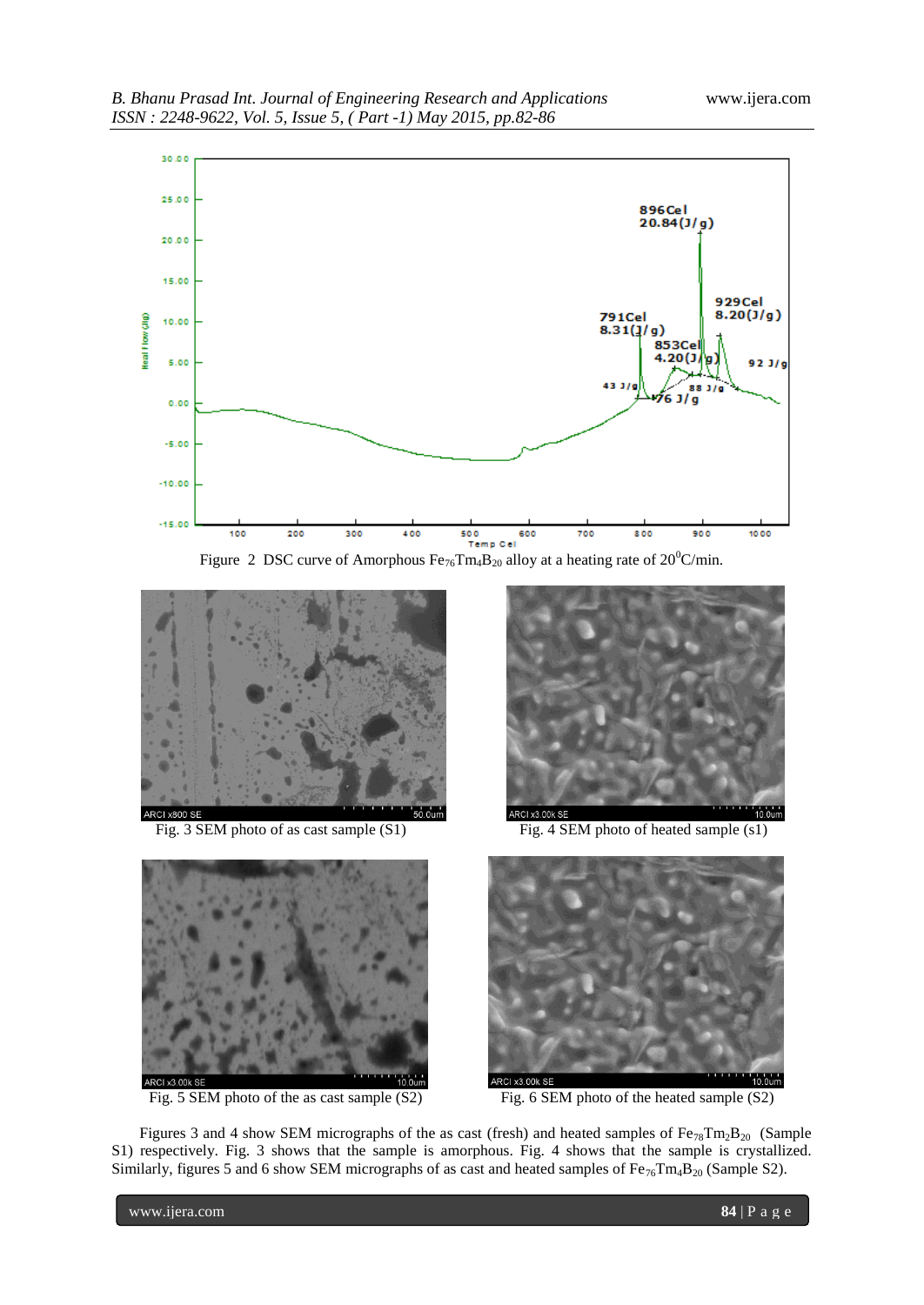





Fig. 5 SEM photo of the as cast sample (S2) Fig. 6 SEM photo of the heated sample (S2)



Fig. 3 SEM photo of as cast sample (S1) Fig. 4 SEM photo of heated sample (s1)



Figures 3 and 4 show SEM micrographs of the as cast (fresh) and heated samples of  $Fe_{78}Tm_2B_{20}$  (Sample S1) respectively. Fig. 3 shows that the sample is amorphous. Fig. 4 shows that the sample is crystallized. Similarly, figures 5 and 6 show SEM micrographs of as cast and heated samples of  $Fe_{76}Tm_4B_{20}$  (Sample S2).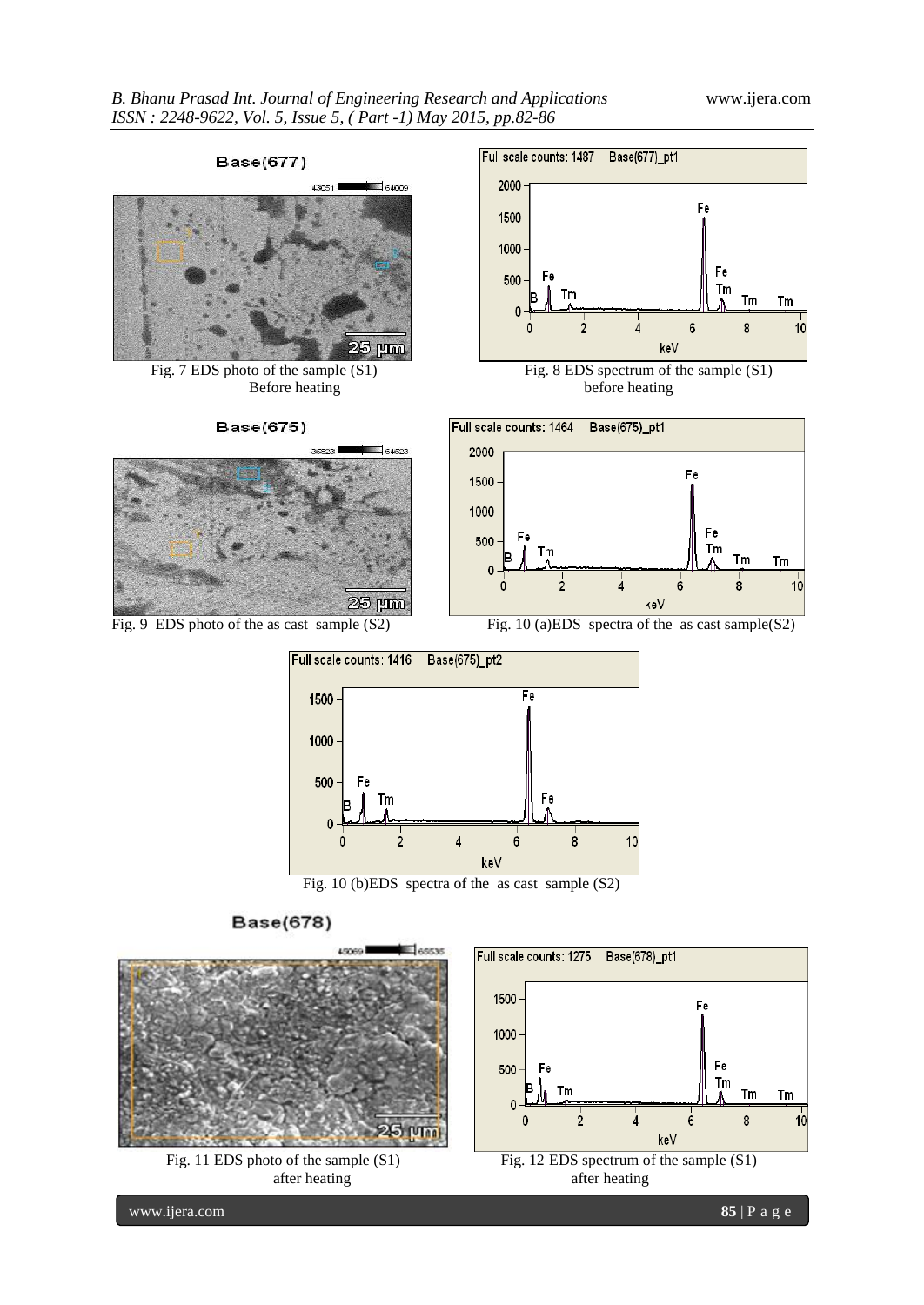

Base(675)





Fig. 7 EDS photo of the sample (S1) Fig. 8 EDS spectrum of the sample (S1) Before heating before heating



Fig. 9 EDS photo of the as cast sample (S2) Fig. 10 (a)EDS spectra of the as cast sample(S2)



Fig. 10 (b)EDS spectra of the as cast sample (S2)

**Base(678)**